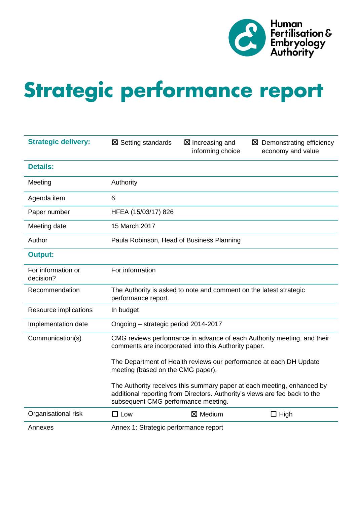

# Strategic performance report

| <b>Strategic delivery:</b>      | $\boxtimes$ Setting standards             | $\boxtimes$ Increasing and<br>informing choice                     | $\boxtimes$ Demonstrating efficiency<br>economy and value                                                                                            |
|---------------------------------|-------------------------------------------|--------------------------------------------------------------------|------------------------------------------------------------------------------------------------------------------------------------------------------|
| <b>Details:</b>                 |                                           |                                                                    |                                                                                                                                                      |
| Meeting                         | Authority                                 |                                                                    |                                                                                                                                                      |
| Agenda item                     | 6                                         |                                                                    |                                                                                                                                                      |
| Paper number                    | HFEA (15/03/17) 826                       |                                                                    |                                                                                                                                                      |
| Meeting date                    | 15 March 2017                             |                                                                    |                                                                                                                                                      |
| Author                          | Paula Robinson, Head of Business Planning |                                                                    |                                                                                                                                                      |
| <b>Output:</b>                  |                                           |                                                                    |                                                                                                                                                      |
| For information or<br>decision? | For information                           |                                                                    |                                                                                                                                                      |
| Recommendation                  | performance report.                       | The Authority is asked to note and comment on the latest strategic |                                                                                                                                                      |
| Resource implications           | In budget                                 |                                                                    |                                                                                                                                                      |
| Implementation date             | Ongoing - strategic period 2014-2017      |                                                                    |                                                                                                                                                      |
| Communication(s)                |                                           | comments are incorporated into this Authority paper.               | CMG reviews performance in advance of each Authority meeting, and their                                                                              |
|                                 | meeting (based on the CMG paper).         |                                                                    | The Department of Health reviews our performance at each DH Update                                                                                   |
|                                 | subsequent CMG performance meeting.       |                                                                    | The Authority receives this summary paper at each meeting, enhanced by<br>additional reporting from Directors. Authority's views are fed back to the |
| Organisational risk             | $\square$ Low                             | $\boxtimes$ Medium                                                 | $\Box$ High                                                                                                                                          |
| Annexes                         | Annex 1: Strategic performance report     |                                                                    |                                                                                                                                                      |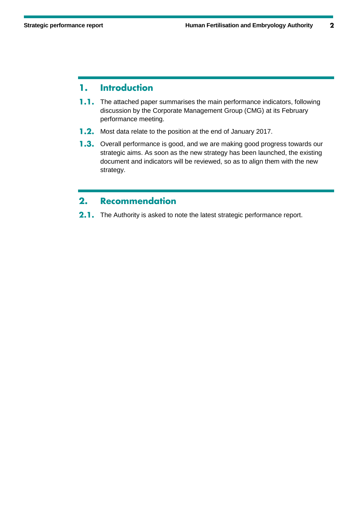#### **Introduction** 1.

- **1.1.** The attached paper summarises the main performance indicators, following discussion by the Corporate Management Group (CMG) at its February performance meeting.
- **1.2.** Most data relate to the position at the end of January 2017.
- 1.3. Overall performance is good, and we are making good progress towards our strategic aims. As soon as the new strategy has been launched, the existing document and indicators will be reviewed, so as to align them with the new strategy.

#### **Recommendation**  $2.$

2.1. The Authority is asked to note the latest strategic performance report.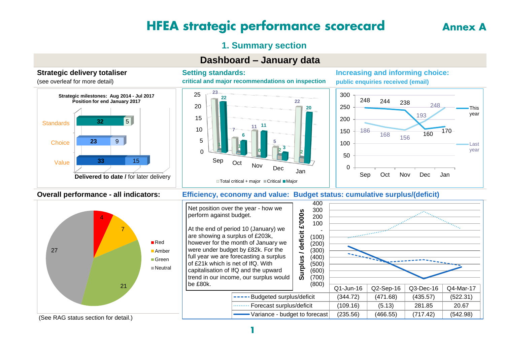# **HFEA strategic performance scorecard**

# **1. Summary section**

# **Dashboard – January data**

### **Strategic delivery totaliser**

(see overleaf for more detail)



#### **Setting standards:**

**critical and major recommendations on inspection**



#### **Increasing and informing choice: public enquiries received (email)**





### **Overall performance - all indicators: Efficiency, economy and value: Budget status: cumulative surplus/(deficit)**



# **Annex A**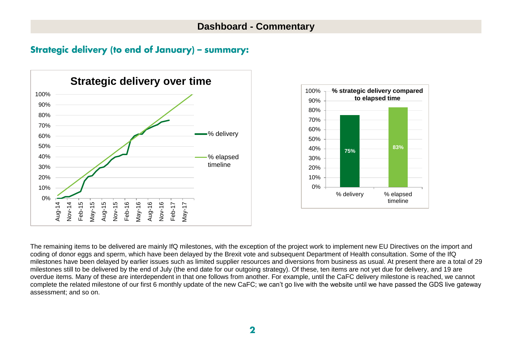## Strategic delivery (to end of January) - summary:





The remaining items to be delivered are mainly IfQ milestones, with the exception of the project work to implement new EU Directives on the import and coding of donor eggs and sperm, which have been delayed by the Brexit vote and subsequent Department of Health consultation. Some of the IfQ milestones have been delayed by earlier issues such as limited supplier resources and diversions from business as usual. At present there are a total of 29 milestones still to be delivered by the end of July (the end date for our outgoing strategy). Of these, ten items are not yet due for delivery, and 19 are overdue items. Many of these are interdependent in that one follows from another. For example, until the CaFC delivery milestone is reached, we cannot complete the related milestone of our first 6 monthly update of the new CaFC; we can't go live with the website until we have passed the GDS live gateway assessment; and so on.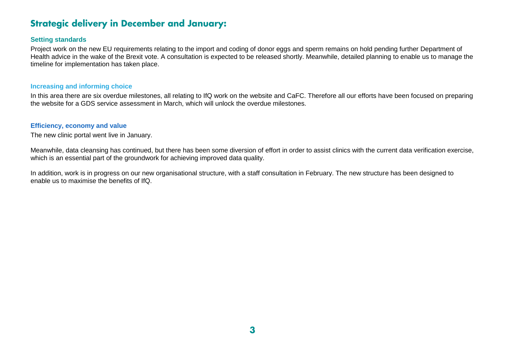# **Strategic delivery in December and January:**

#### **Setting standards**

Project work on the new EU requirements relating to the import and coding of donor eggs and sperm remains on hold pending further Department of Health advice in the wake of the Brexit vote. A consultation is expected to be released shortly. Meanwhile, detailed planning to enable us to manage the timeline for implementation has taken place.

#### **Increasing and informing choice**

In this area there are six overdue milestones, all relating to IfQ work on the website and CaFC. Therefore all our efforts have been focused on preparing the website for a GDS service assessment in March, which will unlock the overdue milestones.

#### **Efficiency, economy and value**

The new clinic portal went live in January.

Meanwhile, data cleansing has continued, but there has been some diversion of effort in order to assist clinics with the current data verification exercise, which is an essential part of the groundwork for achieving improved data quality.

In addition, work is in progress on our new organisational structure, with a staff consultation in February. The new structure has been designed to enable us to maximise the benefits of IfQ.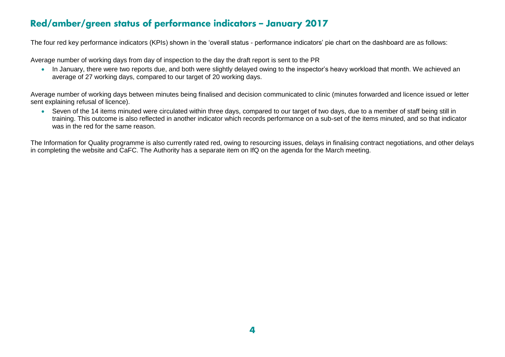# Red/amber/green status of performance indicators - January 2017

The four red key performance indicators (KPIs) shown in the 'overall status - performance indicators' pie chart on the dashboard are as follows:

Average number of working days from day of inspection to the day the draft report is sent to the PR

• In January, there were two reports due, and both were slightly delayed owing to the inspector's heavy workload that month. We achieved an average of 27 working days, compared to our target of 20 working days.

Average number of working days between minutes being finalised and decision communicated to clinic (minutes forwarded and licence issued or letter sent explaining refusal of licence).

 Seven of the 14 items minuted were circulated within three days, compared to our target of two days, due to a member of staff being still in training. This outcome is also reflected in another indicator which records performance on a sub-set of the items minuted, and so that indicator was in the red for the same reason.

The Information for Quality programme is also currently rated red, owing to resourcing issues, delays in finalising contract negotiations, and other delays in completing the website and CaFC. The Authority has a separate item on IfQ on the agenda for the March meeting.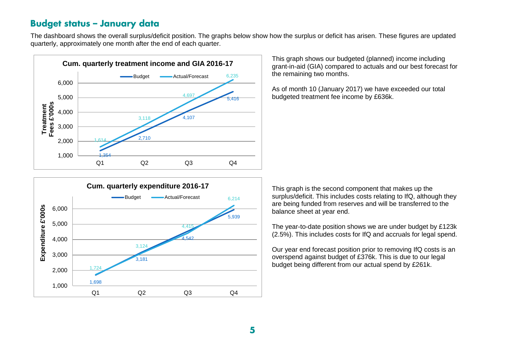## **Budget status - January data**

The dashboard shows the overall surplus/deficit position. The graphs below show how the surplus or deficit has arisen. These figures are updated quarterly, approximately one month after the end of each quarter.



This graph shows our budgeted (planned) income including grant-in-aid (GIA) compared to actuals and our best forecast for the remaining two months.

As of month 10 (January 2017) we have exceeded our total budgeted treatment fee income by £636k.



This graph is the second component that makes up the surplus/deficit. This includes costs relating to IfQ, although they are being funded from reserves and will be transferred to the balance sheet at year end.

The year-to-date position shows we are under budget by £123k (2.5%). This includes costs for IfQ and accruals for legal spend.

Our year end forecast position prior to removing IfQ costs is an overspend against budget of £376k. This is due to our legal budget being different from our actual spend by £261k.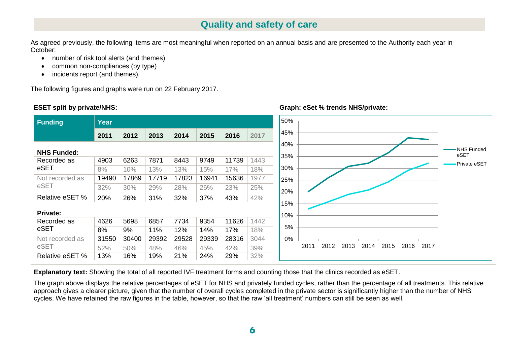# **Quality and safety of care**

As agreed previously, the following items are most meaningful when reported on an annual basis and are presented to the Authority each year in October:

- number of risk tool alerts (and themes)
- common non-compliances (by type)
- incidents report (and themes).

The following figures and graphs were run on 22 February 2017.

#### **ESET split by private/NHS:**



**Graph: eSet % trends NHS/private:**

**Explanatory text:** Showing the total of all reported IVF treatment forms and counting those that the clinics recorded as eSET.

The graph above displays the relative percentages of eSET for NHS and privately funded cycles, rather than the percentage of all treatments. This relative approach gives a clearer picture, given that the number of overall cycles completed in the private sector is significantly higher than the number of NHS cycles. We have retained the raw figures in the table, however, so that the raw 'all treatment' numbers can still be seen as well.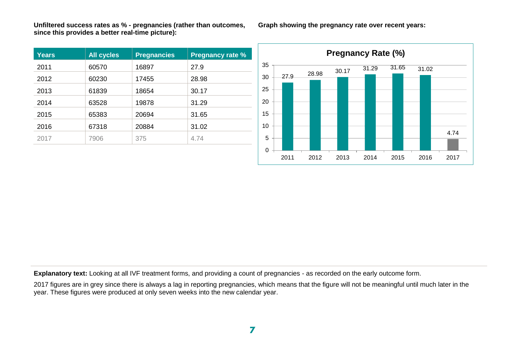**Unfiltered success rates as % - pregnancies (rather than outcomes, since this provides a better real-time picture):**

| <b>Years</b> | <b>All cycles</b> | <b>Pregnancies</b> | <b>Pregnancy rate %</b> |
|--------------|-------------------|--------------------|-------------------------|
| 2011         | 60570             | 16897              | 27.9                    |
| 2012         | 60230             | 17455              | 28.98                   |
| 2013         | 61839             | 18654              | 30.17                   |
| 2014         | 63528             | 19878              | 31.29                   |
| 2015         | 65383             | 20694              | 31.65                   |
| 2016         | 67318             | 20884              | 31.02                   |
| 2017         | 7906              | 375                | 4.74                    |

**Graph showing the pregnancy rate over recent years:**



**Explanatory text:** Looking at all IVF treatment forms, and providing a count of pregnancies - as recorded on the early outcome form.

2017 figures are in grey since there is always a lag in reporting pregnancies, which means that the figure will not be meaningful until much later in the year. These figures were produced at only seven weeks into the new calendar year.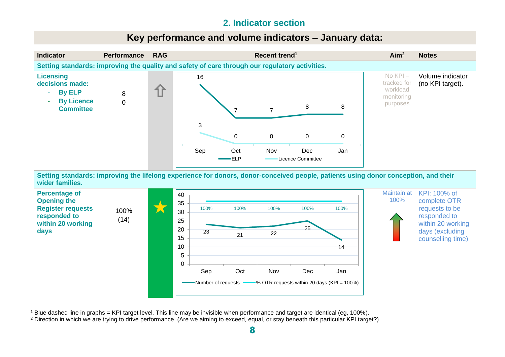# **2. Indicator section**

# **Key performance and volume indicators – January data:**



**Setting standards: improving the lifelong experience for donors, donor-conceived people, patients using donor conception, and their wider families.**



<sup>1</sup> Blue dashed line in graphs = KPI target level. This line may be invisible when performance and target are identical (eg, 100%).

<sup>&</sup>lt;sup>2</sup> Direction in which we are trying to drive performance. (Are we aiming to exceed, equal, or stay beneath this particular KPI target?)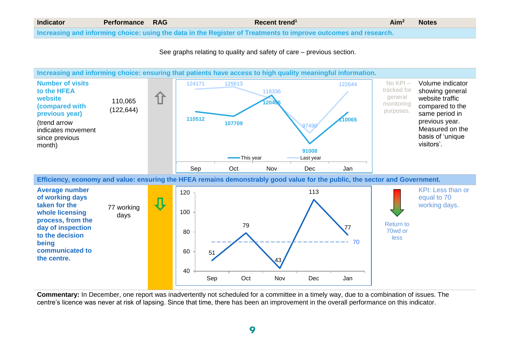| <b>Indicator</b> | <b>Performance RAG</b> | Recent trend <sup>1</sup>                                                                                       | Aim <sup>2</sup> | <b>Notes</b> |
|------------------|------------------------|-----------------------------------------------------------------------------------------------------------------|------------------|--------------|
|                  |                        | Increasing and informing choice: using the data in the Register of Treatments to improve outcomes and research. |                  |              |

See graphs relating to quality and safety of care – previous section.



**Commentary:** In December, one report was inadvertently not scheduled for a committee in a timely way, due to a combination of issues. The centre's licence was never at risk of lapsing. Since that time, there has been an improvement in the overall performance on this indicator.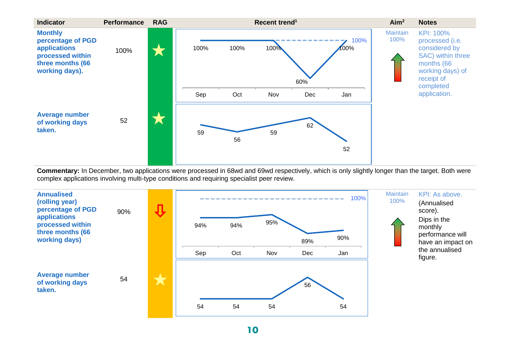

**Commentary:** In December, two applications were processed in 68wd and 69wd respectively, which is only slightly longer than the target. Both were complex applications involving multi-type conditions and requiring specialist peer review.



10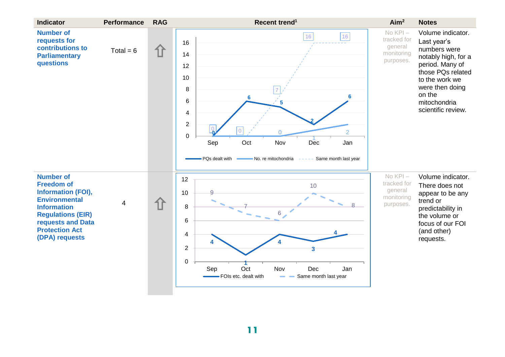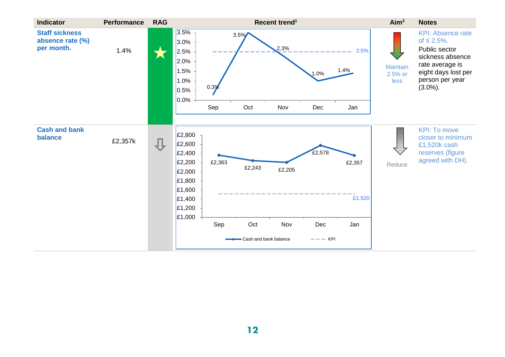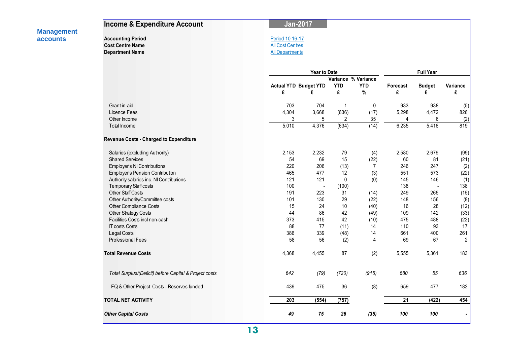|                                      | <b>Income &amp; Expenditure Account</b>                                       | <b>Jan-2017</b>                                                      |                     |                     |                    |               |                    |                |
|--------------------------------------|-------------------------------------------------------------------------------|----------------------------------------------------------------------|---------------------|---------------------|--------------------|---------------|--------------------|----------------|
| <b>Management</b><br><b>accounts</b> | <b>Accounting Period</b><br><b>Cost Centre Name</b><br><b>Department Name</b> | Period 10 16-17<br><b>All Cost Centres</b><br><b>All Departments</b> |                     |                     |                    |               |                    |                |
|                                      |                                                                               |                                                                      | <b>Year to Date</b> |                     |                    |               | <b>Full Year</b>   |                |
|                                      |                                                                               |                                                                      |                     | Variance % Variance |                    |               |                    |                |
|                                      |                                                                               | <b>Actual YTD Budget YTD</b><br>£                                    | £                   | <b>YTD</b><br>£     | <b>YTD</b><br>$\%$ | Forecast<br>£ | <b>Budget</b><br>£ | Variance<br>£  |
|                                      | Grant-in-aid                                                                  | 703                                                                  | 704                 | $\mathbf{1}$        | 0                  | 933           | 938                | (5)            |
|                                      | Licence Fees                                                                  | 4,304                                                                | 3,668               | (636)               | (17)               | 5,298         | 4,472              | 826            |
|                                      | Other Income                                                                  | 3                                                                    | 5                   | 2                   | 35                 | 4             | 6                  | (2)            |
|                                      | Total Income                                                                  | 5,010                                                                | 4,376               | (634)               | (14)               | 6,235         | 5,416              | 819            |
|                                      | Revenue Costs - Charged to Expenditure                                        |                                                                      |                     |                     |                    |               |                    |                |
|                                      | Salaries (excluding Authority)                                                | 2,153                                                                | 2,232               | 79                  | (4)                | 2,580         | 2,679              | (99)           |
|                                      | <b>Shared Services</b>                                                        | 54                                                                   | 69                  | 15                  | (22)               | 60            | 81                 | (21)           |
|                                      | Employer's NI Contributions                                                   | 220                                                                  | 206                 | (13)                | $\overline{7}$     | 246           | 247                | (2)            |
|                                      | Employer's Pension Contribution                                               | 465                                                                  | 477                 | 12                  | (3)                | 551           | 573                | (22)           |
|                                      | Authority salaries inc. NI Contributions                                      | 121                                                                  | 121                 | $\pmb{0}$           | (0)                | 145           | 146                | (1)            |
|                                      | Temporary Staff costs                                                         | 100                                                                  | ÷,                  | (100)               |                    | 138           | $\sim$             | 138            |
|                                      | <b>Other Staff Costs</b>                                                      | 191                                                                  | 223                 | 31                  | (14)               | 249           | 265                | (15)           |
|                                      | Other Authority/Committee costs                                               | 101                                                                  | 130                 | 29                  | (22)               | 148           | 156                | (8)            |
|                                      | Other Compliance Costs                                                        | 15                                                                   | 24                  | 10                  | (40)               | 16            | 28                 | (12)           |
|                                      | Other Strategy Costs                                                          | 44                                                                   | 86                  | 42                  | (49)               | 109           | 142                | (33)           |
|                                      | Facilities Costs incl non-cash                                                | 373                                                                  | 415                 | 42                  | (10)               | 475           | 488                | (22)           |
|                                      | <b>IT costs Costs</b>                                                         | 88                                                                   | 77                  | (11)                | 14                 | 110           | 93                 | 17             |
|                                      | Legal Costs                                                                   | 386                                                                  | 339                 | (48)                | 14                 | 661           | 400                | 261            |
|                                      | <b>Professional Fees</b>                                                      | 58                                                                   | 56                  | (2)                 | 4                  | 69            | 67                 | $\overline{c}$ |
|                                      | <b>Total Revenue Costs</b>                                                    | 4,368                                                                | 4,455               | 87                  | (2)                | 5,555         | 5,361              | 183            |
|                                      | Total Surplus/(Deficit) before Capital & Project costs                        | 642                                                                  | (79)                | (720)               | (915)              | 680           | 55                 | 636            |
|                                      | IFQ & Other Project Costs - Reserves funded                                   | 439                                                                  | 475                 | 36                  | (8)                | 659           | 477                | 182            |
|                                      | <b>TOTAL NET ACTIVITY</b>                                                     | 203                                                                  | (554)               | (757)               |                    | 21            | (422)              | 454            |
|                                      | <b>Other Capital Costs</b>                                                    | 49                                                                   | 75                  | 26                  | (35)               | 100           | 100                | $\blacksquare$ |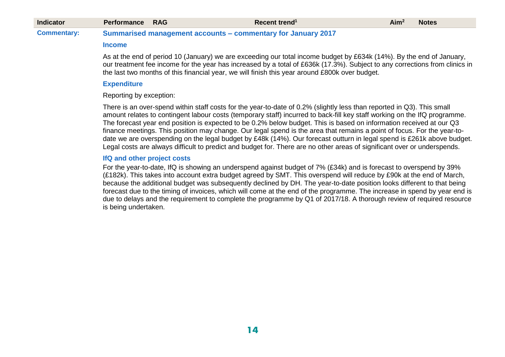| <b>Indicator</b>   | <b>Performance RAG</b> | Recent trend <sup>1</sup>                                           | Aim <sup>2</sup> | <b>Notes</b> |
|--------------------|------------------------|---------------------------------------------------------------------|------------------|--------------|
| <b>Commentary:</b> |                        | <b>Summarised management accounts – commentary for January 2017</b> |                  |              |

#### **Income**

As at the end of period 10 (January) we are exceeding our total income budget by £634k (14%). By the end of January, our treatment fee income for the year has increased by a total of £636k (17.3%). Subject to any corrections from clinics in the last two months of this financial year, we will finish this year around £800k over budget.

#### **Expenditure**

Reporting by exception:

There is an over-spend within staff costs for the year-to-date of 0.2% (slightly less than reported in Q3). This small amount relates to contingent labour costs (temporary staff) incurred to back-fill key staff working on the IfQ programme. The forecast year end position is expected to be 0.2% below budget. This is based on information received at our Q3 finance meetings. This position may change. Our legal spend is the area that remains a point of focus. For the year-todate we are overspending on the legal budget by £48k (14%). Our forecast outturn in legal spend is £261k above budget. Legal costs are always difficult to predict and budget for. There are no other areas of significant over or underspends.

#### **IfQ and other project costs**

For the year-to-date, IfQ is showing an underspend against budget of 7% (£34k) and is forecast to overspend by 39% (£182k). This takes into account extra budget agreed by SMT. This overspend will reduce by £90k at the end of March, because the additional budget was subsequently declined by DH. The year-to-date position looks different to that being forecast due to the timing of invoices, which will come at the end of the programme. The increase in spend by year end is due to delays and the requirement to complete the programme by Q1 of 2017/18. A thorough review of required resource is being undertaken.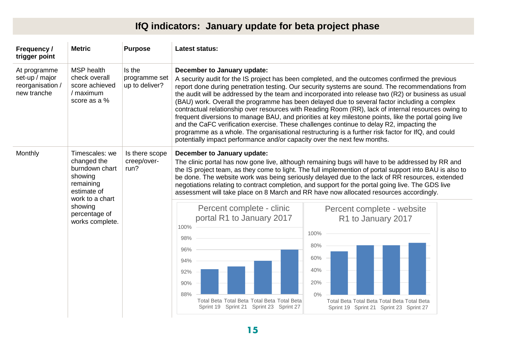# **IfQ indicators: January update for beta project phase**

| Frequency /<br>trigger point                                      | <b>Metric</b>                                                                                                                                            | <b>Purpose</b>                            | <b>Latest status:</b>                                                                                                                                                                                                                                                                                                                                                                                                                                                                                                                                                                                                                                                                                                                                                                                                                                                                                                                         |  |  |  |  |  |  |
|-------------------------------------------------------------------|----------------------------------------------------------------------------------------------------------------------------------------------------------|-------------------------------------------|-----------------------------------------------------------------------------------------------------------------------------------------------------------------------------------------------------------------------------------------------------------------------------------------------------------------------------------------------------------------------------------------------------------------------------------------------------------------------------------------------------------------------------------------------------------------------------------------------------------------------------------------------------------------------------------------------------------------------------------------------------------------------------------------------------------------------------------------------------------------------------------------------------------------------------------------------|--|--|--|--|--|--|
| At programme<br>set-up / major<br>reorganisation /<br>new tranche | <b>MSP</b> health<br>check overall<br>score achieved<br>/ maximum<br>score as a %                                                                        | Is the<br>programme set<br>up to deliver? | December to January update:<br>A security audit for the IS project has been completed, and the outcomes confirmed the previous<br>report done during penetration testing. Our security systems are sound. The recommendations from<br>the audit will be addressed by the team and incorporated into release two (R2) or business as usual<br>(BAU) work. Overall the programme has been delayed due to several factor including a complex<br>contractual relationship over resources with Reading Room (RR), lack of internal resources owing to<br>frequent diversions to manage BAU, and priorities at key milestone points, like the portal going live<br>and the CaFC verification exercise. These challenges continue to delay R2, impacting the<br>programme as a whole. The organisational restructuring is a further risk factor for IfQ, and could<br>potentially impact performance and/or capacity over the next few months.       |  |  |  |  |  |  |
| Monthly                                                           | Timescales: we<br>changed the<br>burndown chart<br>showing<br>remaining<br>estimate of<br>work to a chart<br>showing<br>percentage of<br>works complete. | Is there scope<br>creep/over-<br>run?     | December to January update:<br>The clinic portal has now gone live, although remaining bugs will have to be addressed by RR and<br>the IS project team, as they come to light. The full implemention of portal support into BAU is also to<br>be done. The website work was being seriously delayed due to the lack of RR resources, extended<br>negotiations relating to contract completion, and support for the portal going live. The GDS live<br>assessment will take place on 8 March and RR have now allocated resources accordingly.<br>Percent complete - clinic<br>Percent complete - website<br>portal R1 to January 2017<br>R1 to January 2017<br>100%<br>100%<br>98%<br>80%<br>96%<br>60%<br>94%<br>40%<br>92%<br>20%<br>90%<br>88%<br>$0\%$<br>Total Beta Total Beta Total Beta Total Beta<br>Total Beta Total Beta Total Beta Total Beta<br>Sprint 19 Sprint 21 Sprint 23 Sprint 27<br>Sprint 19 Sprint 21 Sprint 23 Sprint 27 |  |  |  |  |  |  |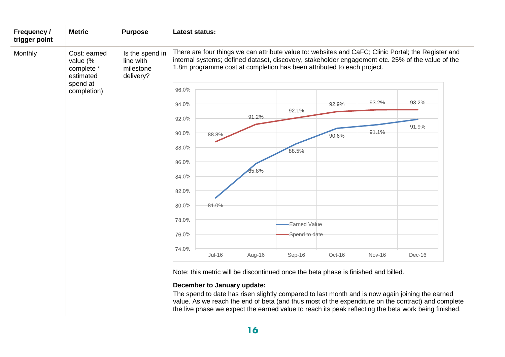| Frequency /<br>trigger point                               | <b>Metric</b> | <b>Purpose</b>                                         | Latest status: |                             |        |                                                                                    |        |               |                                                                                                                                                                                                          |
|------------------------------------------------------------|---------------|--------------------------------------------------------|----------------|-----------------------------|--------|------------------------------------------------------------------------------------|--------|---------------|----------------------------------------------------------------------------------------------------------------------------------------------------------------------------------------------------------|
| Monthly<br>value (%<br>complete *<br>estimated<br>spend at | Cost: earned  | Is the spend in<br>line with<br>milestone<br>delivery? |                |                             |        | 1.8m programme cost at completion has been attributed to each project.             |        |               | There are four things we can attribute value to: websites and CaFC; Clinic Portal; the Register and<br>internal systems; defined dataset, discovery, stakeholder engagement etc. 25% of the value of the |
|                                                            | completion)   |                                                        | 96.0%          |                             |        |                                                                                    |        |               |                                                                                                                                                                                                          |
|                                                            |               |                                                        | 94.0%          |                             |        |                                                                                    | 92.9%  | 93.2%         | 93.2%                                                                                                                                                                                                    |
|                                                            |               |                                                        | 92.0%          |                             | 91.2%  | 92.1%                                                                              |        |               |                                                                                                                                                                                                          |
|                                                            |               |                                                        | 90.0%          | 88.8%                       |        |                                                                                    |        | 91.1%         | 91.9%                                                                                                                                                                                                    |
|                                                            |               |                                                        | 88.0%          |                             |        |                                                                                    | 90.6%  |               |                                                                                                                                                                                                          |
|                                                            |               |                                                        |                |                             |        | 88.5%                                                                              |        |               |                                                                                                                                                                                                          |
|                                                            |               |                                                        | 86.0%          |                             | 85.8%  |                                                                                    |        |               |                                                                                                                                                                                                          |
|                                                            |               |                                                        | 84.0%          |                             |        |                                                                                    |        |               |                                                                                                                                                                                                          |
|                                                            |               |                                                        | 82.0%          |                             |        |                                                                                    |        |               |                                                                                                                                                                                                          |
|                                                            |               |                                                        | 80.0%          | 81.0%                       |        |                                                                                    |        |               |                                                                                                                                                                                                          |
|                                                            |               |                                                        | 78.0%          |                             |        | Earned Value                                                                       |        |               |                                                                                                                                                                                                          |
|                                                            |               |                                                        | 76.0%          |                             |        | Spend to date                                                                      |        |               |                                                                                                                                                                                                          |
|                                                            |               |                                                        | 74.0%          |                             |        |                                                                                    |        |               |                                                                                                                                                                                                          |
|                                                            |               |                                                        |                | $Jul-16$                    | Aug-16 | Sep-16                                                                             | Oct-16 | <b>Nov-16</b> | Dec-16                                                                                                                                                                                                   |
|                                                            |               |                                                        |                |                             |        | Note: this metric will be discontinued once the beta phase is finished and billed. |        |               |                                                                                                                                                                                                          |
|                                                            |               |                                                        |                | December to January update: |        |                                                                                    |        |               |                                                                                                                                                                                                          |
|                                                            |               |                                                        |                |                             |        |                                                                                    |        |               | The spend to date has risen slightly compared to last month and is now again joining the earned<br>yalue. As we reach the end of heta (and thus most of the expenditure on the contract) and complete    |

value. As we reach the end of beta (and thus most of the expenditure on the contract) and complete the live phase we expect the earned value to reach its peak reflecting the beta work being finished.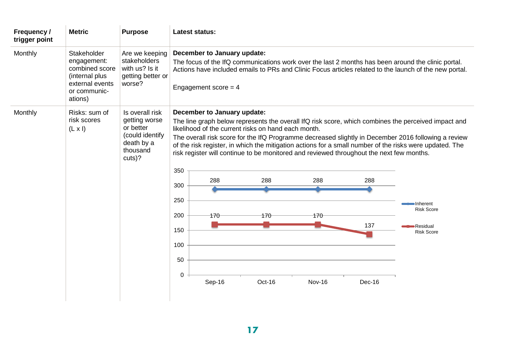| Frequency /<br>trigger point | <b>Metric</b>                                                                                                | <b>Purpose</b>                                                                                       | <b>Latest status:</b>                                                                                                                                                                                                                                                                                                                                                                                                                                                                                                                                                                                                                                                                                                                            |
|------------------------------|--------------------------------------------------------------------------------------------------------------|------------------------------------------------------------------------------------------------------|--------------------------------------------------------------------------------------------------------------------------------------------------------------------------------------------------------------------------------------------------------------------------------------------------------------------------------------------------------------------------------------------------------------------------------------------------------------------------------------------------------------------------------------------------------------------------------------------------------------------------------------------------------------------------------------------------------------------------------------------------|
| Monthly                      | Stakeholder<br>engagement:<br>combined score<br>(internal plus<br>external events<br>or communic-<br>ations) | Are we keeping<br>stakeholders<br>with us? Is it<br>getting better or<br>worse?                      | December to January update:<br>The focus of the IfQ communications work over the last 2 months has been around the clinic portal.<br>Actions have included emails to PRs and Clinic Focus articles related to the launch of the new portal.<br>Engagement score = $4$                                                                                                                                                                                                                                                                                                                                                                                                                                                                            |
| Monthly                      | Risks: sum of<br>risk scores<br>$(L \times I)$                                                               | Is overall risk<br>getting worse<br>or better<br>(could identify<br>death by a<br>thousand<br>cuts)? | December to January update:<br>The line graph below represents the overall IfQ risk score, which combines the perceived impact and<br>likelihood of the current risks on hand each month.<br>The overall risk score for the IfQ Programme decreased slightly in December 2016 following a review<br>of the risk register, in which the mitigation actions for a small number of the risks were updated. The<br>risk register will continue to be monitored and reviewed throughout the next few months.<br>350<br>288<br>288<br>288<br>288<br>300<br>250<br>•Inherent<br><b>Risk Score</b><br>200<br>170<br>170<br>170<br>137<br>Residual<br>150<br><b>Risk Score</b><br>100<br>50<br>$\mathbf 0$<br>Sep-16<br>Oct-16<br><b>Nov-16</b><br>Dec-16 |